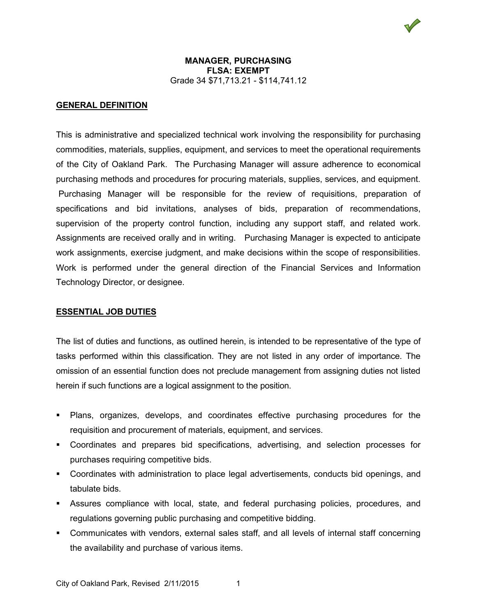## **GENERAL DEFINITION**

This is administrative and specialized technical work involving the responsibility for purchasing commodities, materials, supplies, equipment, and services to meet the operational requirements of the City of Oakland Park. The Purchasing Manager will assure adherence to economical purchasing methods and procedures for procuring materials, supplies, services, and equipment. Purchasing Manager will be responsible for the review of requisitions, preparation of specifications and bid invitations, analyses of bids, preparation of recommendations, supervision of the property control function, including any support staff, and related work. Assignments are received orally and in writing. Purchasing Manager is expected to anticipate work assignments, exercise judgment, and make decisions within the scope of responsibilities. Work is performed under the general direction of the Financial Services and Information Technology Director, or designee.

## **ESSENTIAL JOB DUTIES**

The list of duties and functions, as outlined herein, is intended to be representative of the type of tasks performed within this classification. They are not listed in any order of importance. The omission of an essential function does not preclude management from assigning duties not listed herein if such functions are a logical assignment to the position.

- Plans, organizes, develops, and coordinates effective purchasing procedures for the requisition and procurement of materials, equipment, and services.
- Coordinates and prepares bid specifications, advertising, and selection processes for purchases requiring competitive bids.
- Coordinates with administration to place legal advertisements, conducts bid openings, and tabulate bids.
- Assures compliance with local, state, and federal purchasing policies, procedures, and regulations governing public purchasing and competitive bidding.
- Communicates with vendors, external sales staff, and all levels of internal staff concerning the availability and purchase of various items.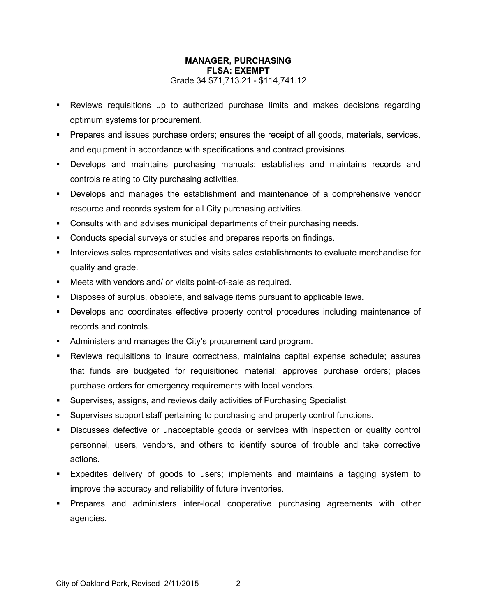- Reviews requisitions up to authorized purchase limits and makes decisions regarding optimum systems for procurement.
- Prepares and issues purchase orders; ensures the receipt of all goods, materials, services, and equipment in accordance with specifications and contract provisions.
- Develops and maintains purchasing manuals; establishes and maintains records and controls relating to City purchasing activities.
- Develops and manages the establishment and maintenance of a comprehensive vendor resource and records system for all City purchasing activities.
- Consults with and advises municipal departments of their purchasing needs.
- Conducts special surveys or studies and prepares reports on findings.
- Interviews sales representatives and visits sales establishments to evaluate merchandise for quality and grade.
- Meets with vendors and/ or visits point-of-sale as required.
- Disposes of surplus, obsolete, and salvage items pursuant to applicable laws.
- Develops and coordinates effective property control procedures including maintenance of records and controls.
- Administers and manages the City's procurement card program.
- Reviews requisitions to insure correctness, maintains capital expense schedule; assures that funds are budgeted for requisitioned material; approves purchase orders; places purchase orders for emergency requirements with local vendors.
- Supervises, assigns, and reviews daily activities of Purchasing Specialist.
- Supervises support staff pertaining to purchasing and property control functions.
- Discusses defective or unacceptable goods or services with inspection or quality control personnel, users, vendors, and others to identify source of trouble and take corrective actions.
- Expedites delivery of goods to users; implements and maintains a tagging system to improve the accuracy and reliability of future inventories.
- Prepares and administers inter-local cooperative purchasing agreements with other agencies.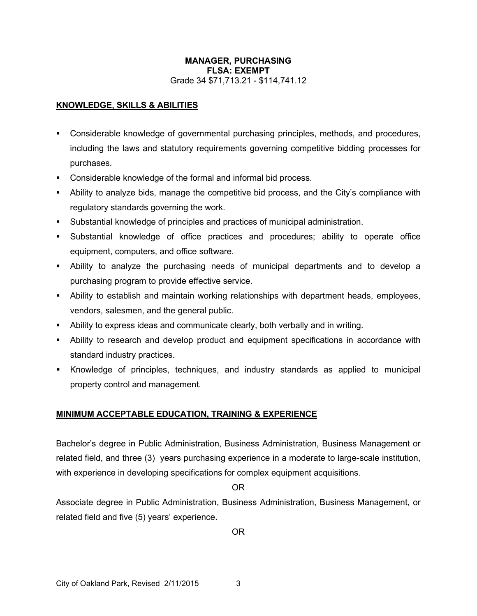# **KNOWLEDGE, SKILLS & ABILITIES**

- Considerable knowledge of governmental purchasing principles, methods, and procedures, including the laws and statutory requirements governing competitive bidding processes for purchases.
- Considerable knowledge of the formal and informal bid process.
- Ability to analyze bids, manage the competitive bid process, and the City's compliance with regulatory standards governing the work.
- Substantial knowledge of principles and practices of municipal administration.
- Substantial knowledge of office practices and procedures; ability to operate office equipment, computers, and office software.
- Ability to analyze the purchasing needs of municipal departments and to develop a purchasing program to provide effective service.
- Ability to establish and maintain working relationships with department heads, employees, vendors, salesmen, and the general public.
- Ability to express ideas and communicate clearly, both verbally and in writing.
- Ability to research and develop product and equipment specifications in accordance with standard industry practices.
- Knowledge of principles, techniques, and industry standards as applied to municipal property control and management.

# **MINIMUM ACCEPTABLE EDUCATION, TRAINING & EXPERIENCE**

Bachelor's degree in Public Administration, Business Administration, Business Management or related field, and three (3) years purchasing experience in a moderate to large-scale institution, with experience in developing specifications for complex equipment acquisitions.

OR

Associate degree in Public Administration, Business Administration, Business Management, or related field and five (5) years' experience.

OR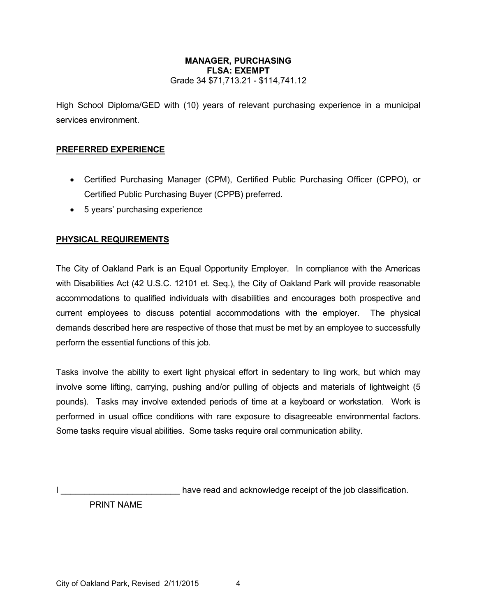High School Diploma/GED with (10) years of relevant purchasing experience in a municipal services environment.

# **PREFERRED EXPERIENCE**

- Certified Purchasing Manager (CPM), Certified Public Purchasing Officer (CPPO), or Certified Public Purchasing Buyer (CPPB) preferred.
- 5 years' purchasing experience

# **PHYSICAL REQUIREMENTS**

The City of Oakland Park is an Equal Opportunity Employer. In compliance with the Americas with Disabilities Act (42 U.S.C. 12101 et. Seq.), the City of Oakland Park will provide reasonable accommodations to qualified individuals with disabilities and encourages both prospective and current employees to discuss potential accommodations with the employer. The physical demands described here are respective of those that must be met by an employee to successfully perform the essential functions of this job.

Tasks involve the ability to exert light physical effort in sedentary to ling work, but which may involve some lifting, carrying, pushing and/or pulling of objects and materials of lightweight (5 pounds). Tasks may involve extended periods of time at a keyboard or workstation. Work is performed in usual office conditions with rare exposure to disagreeable environmental factors. Some tasks require visual abilities. Some tasks require oral communication ability.

I consider the same of the interest of the interest of the interest of the interest of the job classification.

PRINT NAME